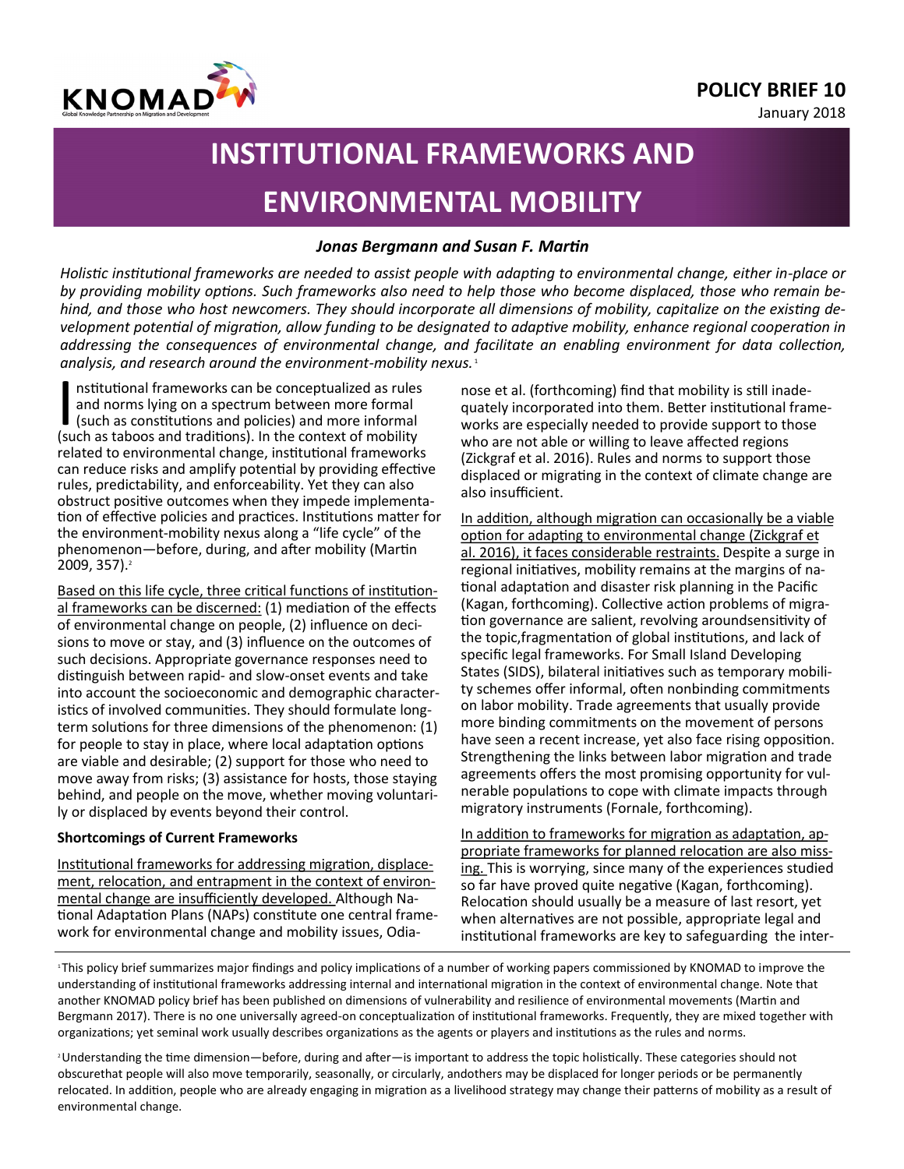

January 2018



# **INSTITUTIONAL FRAMEWORKS AND ENVIRONMENTAL MOBILITY**

## *Jonas Bergmann and Susan F. Martin*

*Holistic institutional frameworks are needed to assist people with adapting to environmental change, either in-place or by providing mobility options. Such frameworks also need to help those who become displaced, those who remain behind, and those who host newcomers. They should incorporate all dimensions of mobility, capitalize on the existing development potential of migration, allow funding to be designated to adaptive mobility, enhance regional cooperation in addressing the consequences of environmental change, and facilitate an enabling environment for data collection, analysis, and research around the environment-mobility nexus.* <sup>1</sup>

Institutional frameworks can be conceptualized as rules<br>and norms lying on a spectrum between more formal<br>(such as taboos and traditions). In the context of mobility nstitutional frameworks can be conceptualized as rules and norms lying on a spectrum between more formal (such as constitutions and policies) and more informal related to environmental change, institutional frameworks can reduce risks and amplify potential by providing effective rules, predictability, and enforceability. Yet they can also obstruct positive outcomes when they impede implementation of effective policies and practices. Institutions matter for the environment-mobility nexus along a "life cycle" of the phenomenon—before, during, and after mobility (Martin 2009, 357).<sup>2</sup>

Based on this life cycle, three critical functions of institutional frameworks can be discerned: (1) mediation of the effects of environmental change on people, (2) influence on decisions to move or stay, and (3) influence on the outcomes of such decisions. Appropriate governance responses need to distinguish between rapid- and slow-onset events and take into account the socioeconomic and demographic characteristics of involved communities. They should formulate longterm solutions for three dimensions of the phenomenon: (1) for people to stay in place, where local adaptation options are viable and desirable; (2) support for those who need to move away from risks; (3) assistance for hosts, those staying behind, and people on the move, whether moving voluntarily or displaced by events beyond their control.

## **Shortcomings of Current Frameworks**

Institutional frameworks for addressing migration, displacement, relocation, and entrapment in the context of environmental change are insufficiently developed. Although National Adaptation Plans (NAPs) constitute one central framework for environmental change and mobility issues, Odianose et al. (forthcoming) find that mobility is still inadequately incorporated into them. Better institutional frameworks are especially needed to provide support to those who are not able or willing to leave affected regions (Zickgraf et al. 2016). Rules and norms to support those displaced or migrating in the context of climate change are also insufficient.

In addition, although migration can occasionally be a viable option for adapting to environmental change (Zickgraf et al. 2016), it faces considerable restraints. Despite a surge in regional initiatives, mobility remains at the margins of national adaptation and disaster risk planning in the Pacific (Kagan, forthcoming). Collective action problems of migration governance are salient, revolving aroundsensitivity of the topic,fragmentation of global institutions, and lack of specific legal frameworks. For Small Island Developing States (SIDS), bilateral initiatives such as temporary mobility schemes offer informal, often nonbinding commitments on labor mobility. Trade agreements that usually provide more binding commitments on the movement of persons have seen a recent increase, yet also face rising opposition. Strengthening the links between labor migration and trade agreements offers the most promising opportunity for vulnerable populations to cope with climate impacts through migratory instruments (Fornale, forthcoming).

In addition to frameworks for migration as adaptation, appropriate frameworks for planned relocation are also missing. This is worrying, since many of the experiences studied so far have proved quite negative (Kagan, forthcoming). Relocation should usually be a measure of last resort, yet when alternatives are not possible, appropriate legal and institutional frameworks are key to safeguarding the inter-

<sup>1</sup>This policy brief summarizes major findings and policy implications of a number of working papers commissioned by KNOMAD to improve the understanding of institutional frameworks addressing internal and international migration in the context of environmental change. Note that another KNOMAD policy brief has been published on dimensions of vulnerability and resilience of environmental movements (Martin and Bergmann 2017). There is no one universally agreed-on conceptualization of institutional frameworks. Frequently, they are mixed together with organizations; yet seminal work usually describes organizations as the agents or players and institutions as the rules and norms.

<sup>2</sup>Understanding the time dimension—before, during and after—is important to address the topic holistically. These categories should not obscurethat people will also move temporarily, seasonally, or circularly, andothers may be displaced for longer periods or be permanently relocated. In addition, people who are already engaging in migration as a livelihood strategy may change their patterns of mobility as a result of environmental change.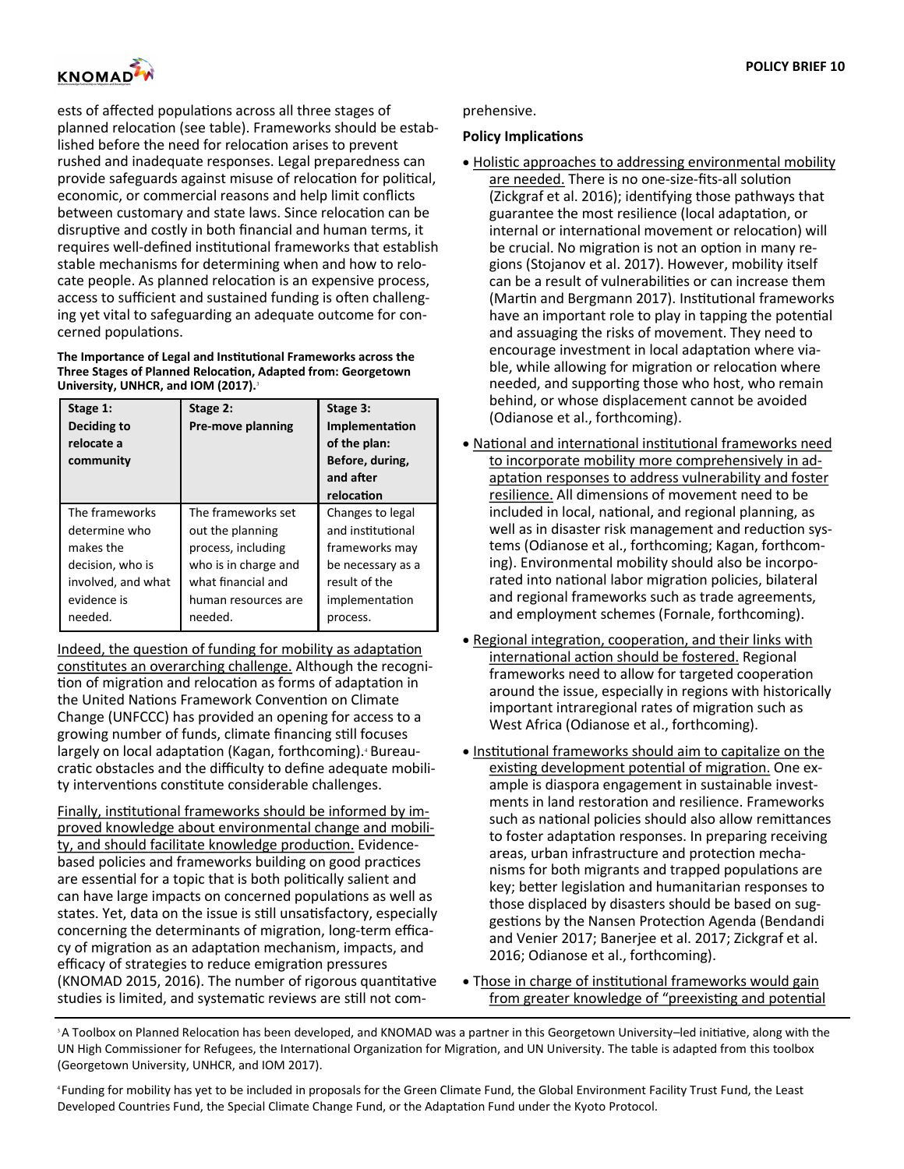

ests of affected populations across all three stages of planned relocation (see table). Frameworks should be established before the need for relocation arises to prevent rushed and inadequate responses. Legal preparedness can provide safeguards against misuse of relocation for political, economic, or commercial reasons and help limit conflicts between customary and state laws. Since relocation can be disruptive and costly in both financial and human terms, it requires well-defined institutional frameworks that establish stable mechanisms for determining when and how to relocate people. As planned relocation is an expensive process, access to sufficient and sustained funding is often challenging yet vital to safeguarding an adequate outcome for concerned populations.

#### **The Importance of Legal and Institutional Frameworks across the Three Stages of Planned Relocation, Adapted from: Georgetown University, UNHCR, and IOM (2017).**<sup>3</sup>

| Stage 1:<br>Deciding to<br>relocate a<br>community | Stage 2:<br>Pre-move planning | Stage 3:<br>Implementation<br>of the plan:<br>Before, during,<br>and after<br>relocation |
|----------------------------------------------------|-------------------------------|------------------------------------------------------------------------------------------|
| The frameworks                                     | The frameworks set            | Changes to legal                                                                         |
| determine who                                      | out the planning              | and institutional                                                                        |
| makes the                                          | process, including            | frameworks may                                                                           |
| decision, who is                                   | who is in charge and          | be necessary as a                                                                        |
| involved, and what                                 | what financial and            | result of the                                                                            |
| evidence is                                        | human resources are           | implementation                                                                           |
| needed.                                            | needed.                       | process.                                                                                 |

Indeed, the question of funding for mobility as adaptation constitutes an overarching challenge. Although the recognition of migration and relocation as forms of adaptation in the United Nations Framework Convention on Climate Change (UNFCCC) has provided an opening for access to a growing number of funds, climate financing still focuses largely on local adaptation (Kagan, forthcoming).<sup>4</sup> Bureaucratic obstacles and the difficulty to define adequate mobility interventions constitute considerable challenges.

Finally, institutional frameworks should be informed by improved knowledge about environmental change and mobility, and should facilitate knowledge production. Evidencebased policies and frameworks building on good practices are essential for a topic that is both politically salient and can have large impacts on concerned populations as well as states. Yet, data on the issue is still unsatisfactory, especially concerning the determinants of migration, long-term efficacy of migration as an adaptation mechanism, impacts, and efficacy of strategies to reduce emigration pressures (KNOMAD 2015, 2016). The number of rigorous quantitative studies is limited, and systematic reviews are still not com-

### prehensive.

## **Policy Implications**

- Holistic approaches to addressing environmental mobility are needed. There is no one-size-fits-all solution (Zickgraf et al. 2016); identifying those pathways that guarantee the most resilience (local adaptation, or internal or international movement or relocation) will be crucial. No migration is not an option in many regions (Stojanov et al. 2017). However, mobility itself can be a result of vulnerabilities or can increase them (Martin and Bergmann 2017). Institutional frameworks have an important role to play in tapping the potential and assuaging the risks of movement. They need to encourage investment in local adaptation where viable, while allowing for migration or relocation where needed, and supporting those who host, who remain behind, or whose displacement cannot be avoided (Odianose et al., forthcoming).
- National and international institutional frameworks need to incorporate mobility more comprehensively in adaptation responses to address vulnerability and foster resilience. All dimensions of movement need to be included in local, national, and regional planning, as well as in disaster risk management and reduction systems (Odianose et al., forthcoming; Kagan, forthcoming). Environmental mobility should also be incorporated into national labor migration policies, bilateral and regional frameworks such as trade agreements, and employment schemes (Fornale, forthcoming).
- Regional integration, cooperation, and their links with international action should be fostered. Regional frameworks need to allow for targeted cooperation around the issue, especially in regions with historically important intraregional rates of migration such as West Africa (Odianose et al., forthcoming).
- Institutional frameworks should aim to capitalize on the existing development potential of migration. One example is diaspora engagement in sustainable investments in land restoration and resilience. Frameworks such as national policies should also allow remittances to foster adaptation responses. In preparing receiving areas, urban infrastructure and protection mechanisms for both migrants and trapped populations are key; better legislation and humanitarian responses to those displaced by disasters should be based on suggestions by the Nansen Protection Agenda (Bendandi and Venier 2017; Banerjee et al. 2017; Zickgraf et al. 2016; Odianose et al., forthcoming).
- Those in charge of institutional frameworks would gain from greater knowledge of "preexisting and potential

<sup>3</sup>A Toolbox on Planned Relocation has been developed, and KNOMAD was a partner in this Georgetown University–led initiative, along with the UN High Commissioner for Refugees, the International Organization for Migration, and UN University. The table is adapted from this toolbox (Georgetown University, UNHCR, and IOM 2017).

<sup>4</sup>Funding for mobility has yet to be included in proposals for the Green Climate Fund, the Global Environment Facility Trust Fund, the Least Developed Countries Fund, the Special Climate Change Fund, or the Adaptation Fund under the Kyoto Protocol.